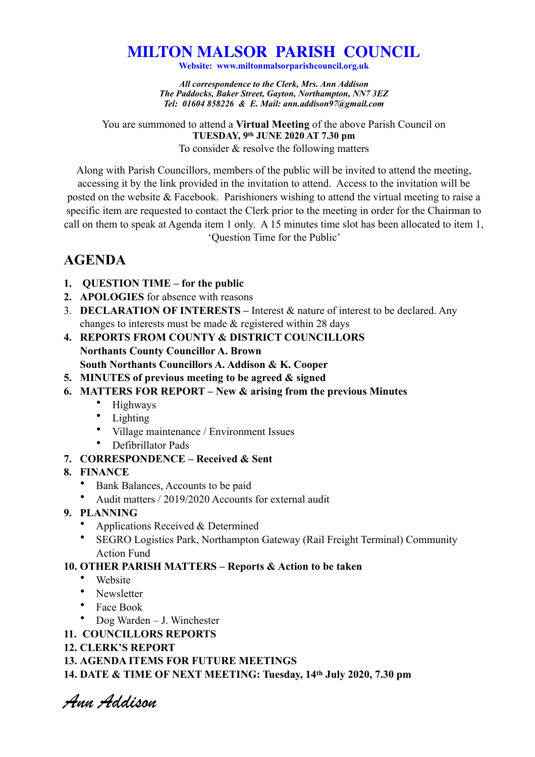## **MILTON MALSOR PARISH COUNCIL**

**Website: www.miltonmalsorparishcouncil.org.uk** 

*All correspondence to the Clerk, Mrs. Ann Addison The Paddocks, Baker Street, Gayton, Northampton, NN7 3EZ Tel: 01604 858226 & E. Mail: ann.addison97@gmail.com* 

You are summoned to attend a **Virtual Meeting** of the above Parish Council on **TUESDAY, 9th JUNE 2020 AT 7.30 pm** 

To consider & resolve the following matters

Along with Parish Councillors, members of the public will be invited to attend the meeting, accessing it by the link provided in the invitation to attend. Access to the invitation will be posted on the website & Facebook. Parishioners wishing to attend the virtual meeting to raise a specific item are requested to contact the Clerk prior to the meeting in order for the Chairman to call on them to speak at Agenda item 1 only. A 15 minutes time slot has been allocated to item 1, 'Question Time for the Public'

## **AGENDA**

- **1. QUESTION TIME for the public**
- **2. APOLOGIES** for absence with reasons
- 3. **DECLARATION OF INTERESTS** Interest & nature of interest to be declared. Any changes to interests must be made & registered within 28 days
- **4. REPORTS FROM COUNTY & DISTRICT COUNCILLORS Northants County Councillor A. Brown South Northants Councillors A. Addison & K. Cooper**
- **5. MINUTES of previous meeting to be agreed & signed**
- **6. MATTERS FOR REPORT New & arising from the previous Minutes** 
	- Highways
	- Lighting
	- Village maintenance / Environment Issues
	- Defibrillator Pads
- **7. CORRESPONDENCE Received & Sent**
- **8. FINANCE** 
	- Bank Balances, Accounts to be paid
	- Audit matters / 2019/2020 Accounts for external audit
- **9. PLANNING** 
	- Applications Received & Determined
	- SEGRO Logistics Park, Northampton Gateway (Rail Freight Terminal) Community Action Fund

## **10. OTHER PARISH MATTERS – Reports & Action to be taken**

- Website
- Newsletter
- Face Book
- Dog Warden J. Winchester
- **11. COUNCILLORS REPORTS**
- **12. CLERK'S REPORT**
- **13. AGENDA ITEMS FOR FUTURE MEETINGS**

**14. DATE & TIME OF NEXT MEETING: Tuesday, 14th July 2020, 7.30 pm** 

*Ann Addison*